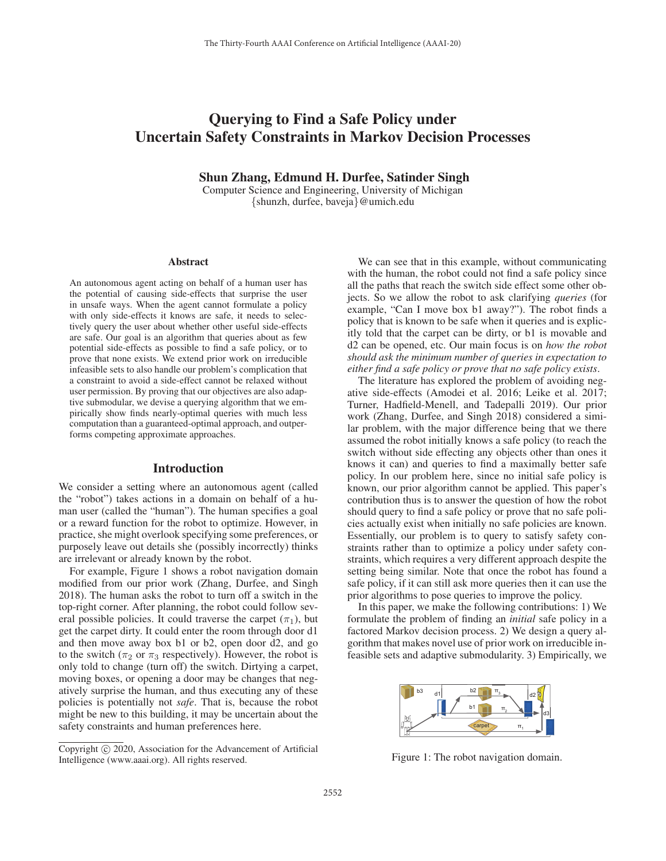# Querying to Find a Safe Policy under Uncertain Safety Constraints in Markov Decision Processes

### Shun Zhang, Edmund H. Durfee, Satinder Singh

Computer Science and Engineering, University of Michigan {shunzh, durfee, baveja}@umich.edu

#### Abstract

An autonomous agent acting on behalf of a human user has the potential of causing side-effects that surprise the user in unsafe ways. When the agent cannot formulate a policy with only side-effects it knows are safe, it needs to selectively query the user about whether other useful side-effects are safe. Our goal is an algorithm that queries about as few potential side-effects as possible to find a safe policy, or to prove that none exists. We extend prior work on irreducible infeasible sets to also handle our problem's complication that a constraint to avoid a side-effect cannot be relaxed without user permission. By proving that our objectives are also adaptive submodular, we devise a querying algorithm that we empirically show finds nearly-optimal queries with much less computation than a guaranteed-optimal approach, and outperforms competing approximate approaches.

# Introduction

We consider a setting where an autonomous agent (called the "robot") takes actions in a domain on behalf of a human user (called the "human"). The human specifies a goal or a reward function for the robot to optimize. However, in practice, she might overlook specifying some preferences, or purposely leave out details she (possibly incorrectly) thinks are irrelevant or already known by the robot.

For example, Figure 1 shows a robot navigation domain modified from our prior work (Zhang, Durfee, and Singh 2018). The human asks the robot to turn off a switch in the top-right corner. After planning, the robot could follow several possible policies. It could traverse the carpet  $(\pi_1)$ , but get the carpet dirty. It could enter the room through door d1 and then move away box b1 or b2, open door d2, and go to the switch ( $\pi_2$  or  $\pi_3$  respectively). However, the robot is only told to change (turn off) the switch. Dirtying a carpet, moving boxes, or opening a door may be changes that negatively surprise the human, and thus executing any of these policies is potentially not *safe*. That is, because the robot might be new to this building, it may be uncertain about the safety constraints and human preferences here.

We can see that in this example, without communicating with the human, the robot could not find a safe policy since all the paths that reach the switch side effect some other objects. So we allow the robot to ask clarifying *queries* (for example, "Can I move box b1 away?"). The robot finds a policy that is known to be safe when it queries and is explicitly told that the carpet can be dirty, or b1 is movable and d2 can be opened, etc. Our main focus is on *how the robot should ask the minimum number of queries in expectation to either find a safe policy or prove that no safe policy exists*.

The literature has explored the problem of avoiding negative side-effects (Amodei et al. 2016; Leike et al. 2017; Turner, Hadfield-Menell, and Tadepalli 2019). Our prior work (Zhang, Durfee, and Singh 2018) considered a similar problem, with the major difference being that we there assumed the robot initially knows a safe policy (to reach the switch without side effecting any objects other than ones it knows it can) and queries to find a maximally better safe policy. In our problem here, since no initial safe policy is known, our prior algorithm cannot be applied. This paper's contribution thus is to answer the question of how the robot should query to find a safe policy or prove that no safe policies actually exist when initially no safe policies are known. Essentially, our problem is to query to satisfy safety constraints rather than to optimize a policy under safety constraints, which requires a very different approach despite the setting being similar. Note that once the robot has found a safe policy, if it can still ask more queries then it can use the prior algorithms to pose queries to improve the policy.

In this paper, we make the following contributions: 1) We formulate the problem of finding an *initial* safe policy in a factored Markov decision process. 2) We design a query algorithm that makes novel use of prior work on irreducible infeasible sets and adaptive submodularity. 3) Empirically, we



Figure 1: The robot navigation domain.

Copyright  $\odot$  2020, Association for the Advancement of Artificial Intelligence (www.aaai.org). All rights reserved.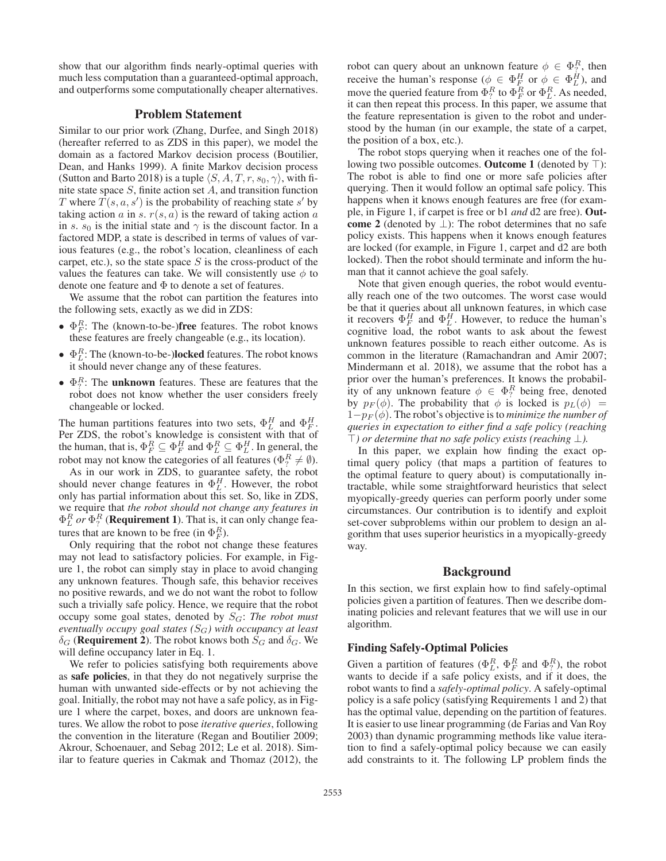show that our algorithm finds nearly-optimal queries with much less computation than a guaranteed-optimal approach, and outperforms some computationally cheaper alternatives.

# Problem Statement

Similar to our prior work (Zhang, Durfee, and Singh 2018) (hereafter referred to as ZDS in this paper), we model the domain as a factored Markov decision process (Boutilier, Dean, and Hanks 1999). A finite Markov decision process (Sutton and Barto 2018) is a tuple  $\langle S, A, T, r, s_0, \gamma \rangle$ , with finite state space  $S$ , finite action set  $A$ , and transition function T where  $T(s, a, s')$  is the probability of reaching state s' by<br>taking action a in s  $r(s, a)$  is the reward of taking action a taking action a in s.  $r(s, a)$  is the reward of taking action a in s.  $s_0$  is the initial state and  $\gamma$  is the discount factor. In a factored MDP, a state is described in terms of values of various features (e.g., the robot's location, cleanliness of each carpet, etc.), so the state space  $S$  is the cross-product of the values the features can take. We will consistently use  $\phi$  to denote one feature and  $\Phi$  to denote a set of features.

We assume that the robot can partition the features into the following sets, exactly as we did in ZDS:

- $\Phi_F^R$ : The (known-to-be-)**free** features. The robot knows these features are freely changeable (e.g. its location) these features are freely changeable (e.g., its location).
- $\Phi_E^R$ : The (known-to-be-)**locked** features. The robot knows it should never change any of these features it should never change any of these features.
- $\Phi_T^R$ : The **unknown** features. These are features that the robot does not know whether the user considers freely robot does not know whether the user considers freely changeable or locked.

The human partitions features into two sets,  $\Phi_L^H$  and  $\Phi_F^H$ .<br>Per ZDS, the robot's knowledge is consistent with that of Per ZDS, the robot's knowledge is consistent with that of the human, that is,  $\Phi_F^R \subseteq \Phi_F^H$  and  $\Phi_L^R \subseteq \Phi_H^H$ . In general, the robot may not know the categories of all features  $(\Phi_R^R \neq \emptyset)$ robot may not know the categories of all features ( $\Phi_i^R \neq \emptyset$ ).<br>As in our work in ZDS, to guarantee safety the robot

As in our work in ZDS, to guarantee safety, the robot should never change features in  $\Phi_L^H$ . However, the robot only has partial information about this set. So, like in ZDS only has partial information about this set. So, like in ZDS, we require that *the robot should not change any features in*  $\Phi_L^R$  *or*  $\Phi_T^R$  (**Requirement 1**). That is, it can only change fea-<br>tures that are known to be free (in  $\Phi_R^R$ ) tures that are known to be free (in  $\Phi_F^R$ ).<br>Only requiring that the robot not cl

Only requiring that the robot not change these features may not lead to satisfactory policies. For example, in Figure 1, the robot can simply stay in place to avoid changing any unknown features. Though safe, this behavior receives no positive rewards, and we do not want the robot to follow such a trivially safe policy. Hence, we require that the robot occupy some goal states, denoted by  $S_G$ : *The robot must eventually occupy goal states (*SG*) with occupancy at least*  $\delta_G$  (**Requirement 2**). The robot knows both  $S_G$  and  $\delta_G$ . We will define occupancy later in Eq. 1.

We refer to policies satisfying both requirements above as safe policies, in that they do not negatively surprise the human with unwanted side-effects or by not achieving the goal. Initially, the robot may not have a safe policy, as in Figure 1 where the carpet, boxes, and doors are unknown features. We allow the robot to pose *iterative queries*, following the convention in the literature (Regan and Boutilier 2009; Akrour, Schoenauer, and Sebag 2012; Le et al. 2018). Similar to feature queries in Cakmak and Thomaz (2012), the

robot can query about an unknown feature  $\phi \in \Phi_R^R$ , then receive the human's response  $(\phi \in \Phi_H^H \text{ or } \phi \in \Phi_H^H)$  and receive the human's response ( $\phi \in \Phi_F^H$  or  $\phi \in \Phi_H^H$ ), and move the queried feature from  $\Phi_R^R$  to  $\Phi_R^R$  or  $\Phi_R^R$ . As needed move the queried feature from  $\Phi_R^R$  to  $\Phi_F^R$  or  $\Phi_L^R$ . As needed, it can then repeat this process. In this paper, we assume that it can then repeat this process. In this paper, we assume that the feature representation is given to the robot and understood by the human (in our example, the state of a carpet, the position of a box, etc.).

The robot stops querying when it reaches one of the following two possible outcomes. Outcome 1 (denoted by  $\top$ ): The robot is able to find one or more safe policies after querying. Then it would follow an optimal safe policy. This happens when it knows enough features are free (for example, in Figure 1, if carpet is free or b1 *and* d2 are free). Outcome 2 (denoted by  $\perp$ ): The robot determines that no safe policy exists. This happens when it knows enough features are locked (for example, in Figure 1, carpet and d2 are both locked). Then the robot should terminate and inform the human that it cannot achieve the goal safely.

Note that given enough queries, the robot would eventually reach one of the two outcomes. The worst case would be that it queries about all unknown features, in which case it recovers  $\Phi_F^H$  and  $\Phi_{L}^H$ . However, to reduce the human's<br>cognitive load, the robot wants to ask about the fewest cognitive load, the robot wants to ask about the fewest unknown features possible to reach either outcome. As is common in the literature (Ramachandran and Amir 2007; Mindermann et al. 2018), we assume that the robot has a prior over the human's preferences. It knows the probability of any unknown feature  $\phi \in \Phi_R^R$  being free, denoted<br>by  $p_E(\phi)$ . The probability that  $\phi$  is locked is  $p_E(\phi) =$ by  $p_F(\phi)$ . The probability that  $\phi$  is locked is  $p_L(\phi)$  =  $1-p_F(\phi)$ . The robot's objective is to *minimize the number of queries in expectation to either find a safe policy (reaching ) or determine that no safe policy exists (reaching* ⊥*).*

In this paper, we explain how finding the exact optimal query policy (that maps a partition of features to the optimal feature to query about) is computationally intractable, while some straightforward heuristics that select myopically-greedy queries can perform poorly under some circumstances. Our contribution is to identify and exploit set-cover subproblems within our problem to design an algorithm that uses superior heuristics in a myopically-greedy way.

### Background

In this section, we first explain how to find safely-optimal policies given a partition of features. Then we describe dominating policies and relevant features that we will use in our algorithm.

#### Finding Safely-Optimal Policies

Given a partition of features ( $\Phi_R^R$ ,  $\Phi_R^R$  and  $\Phi_7^R$ ), the robot wants to decide if a safe policy exists and if it does the wants to decide if a safe policy exists, and if it does, the robot wants to find a *safely-optimal policy*. A safely-optimal policy is a safe policy (satisfying Requirements 1 and 2) that has the optimal value, depending on the partition of features. It is easier to use linear programming (de Farias and Van Roy 2003) than dynamic programming methods like value iteration to find a safely-optimal policy because we can easily add constraints to it. The following LP problem finds the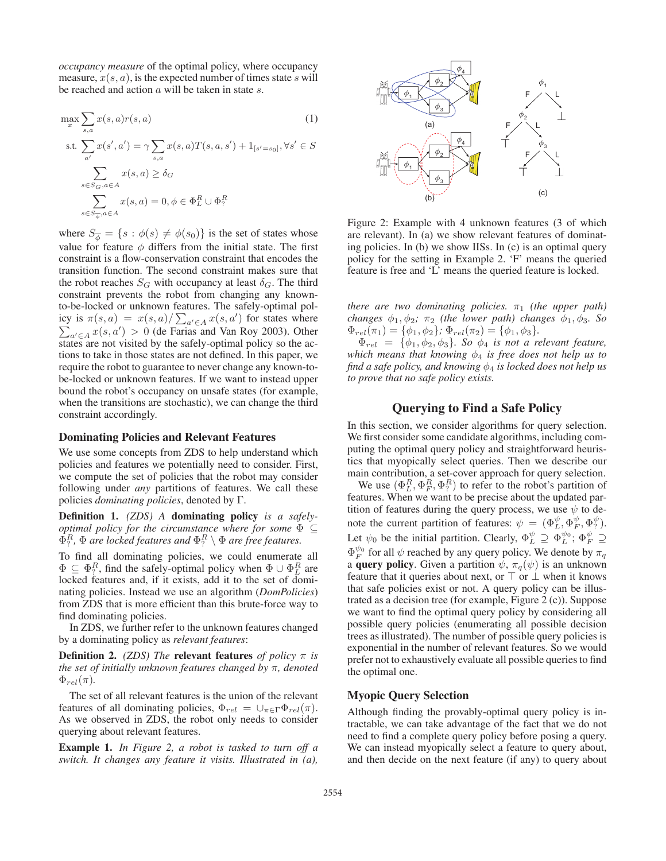*occupancy measure* of the optimal policy, where occupancy measure,  $x(s, a)$ , is the expected number of times state s will be reached and action a will be taken in state s.

$$
\max_{x} \sum_{s,a} x(s,a)r(s,a)
$$
(1)  
s.t. 
$$
\sum_{a'} x(s',a') = \gamma \sum_{s,a} x(s,a)T(s,a,s') + 1_{[s'=s_0]}, \forall s' \in S
$$

$$
\sum_{s \in S_G, a \in A} x(s,a) \ge \delta_G
$$

$$
\sum_{s \in S_{\overline{\phi}}, a \in A} x(s,a) = 0, \phi \in \Phi_L^R \cup \Phi_?^R
$$

where  $S_{\overline{\phi}} = \{s : \phi(s) \neq \phi(s_0)\}\$ is the set of states whose value for feature  $\phi$  differs from the initial state. The first constraint is a flow-conservation constraint that encodes the transition function. The second constraint makes sure that the robot reaches  $S_G$  with occupancy at least  $\delta_G$ . The third constraint prevents the robot from changing any knownto-be-locked or unknown features. The safely-optimal policy is  $\pi(s, a) = x(s, a) / \sum_{a' \in A} x(s, a')$ <br>  $\sum_{a' \in A} x(s, a') \geq 0$  (de Farias and Van icy is  $\pi(s, a) = x(s, a) / \sum_{a' \in A} x(s, a')$  for states where  $\sum_{a' \in A} x(s, a') > 0$  (de Farias and Van Roy 2003). Other states are not visited by the safely-optimal policy so the actions to take in those states are not defined. In this paper, we require the robot to guarantee to never change any known-tobe-locked or unknown features. If we want to instead upper bound the robot's occupancy on unsafe states (for example, when the transitions are stochastic), we can change the third constraint accordingly.

#### Dominating Policies and Relevant Features

We use some concepts from ZDS to help understand which policies and features we potentially need to consider. First, we compute the set of policies that the robot may consider following under *any* partitions of features. We call these policies *dominating policies*, denoted by Γ.

Definition 1. *(ZDS) A* dominating policy *is a safelyoptimal policy for the circumstance where for some* Φ <sup>⊆</sup>  $\Phi_?^R$ ,  $\Phi$  *are locked features and*  $\Phi_?^R \setminus \Phi$  *are free features.* 

To find all dominating policies, we could enumerate all  $\Phi \subseteq \Phi_7^R$ , find the safely-optimal policy when  $\Phi \cup \Phi_L^R$  are locked features and if it exists add it to the set of domilocked features and, if it exists, add it to the set of dominating policies. Instead we use an algorithm (*DomPolicies*) from ZDS that is more efficient than this brute-force way to find dominating policies.

In ZDS, we further refer to the unknown features changed by a dominating policy as *relevant features*:

**Definition 2.** *(ZDS)* The **relevant features** *of policy*  $\pi$  *is the set of initially unknown features changed by* π*, denoted*  $\Phi_{rel}(\pi)$ .

The set of all relevant features is the union of the relevant features of all dominating policies,  $\Phi_{rel} = \bigcup_{\pi \in \Gamma} \Phi_{rel}(\pi)$ . As we observed in ZDS, the robot only needs to consider querying about relevant features.

Example 1. *In Figure 2, a robot is tasked to turn off a switch. It changes any feature it visits. Illustrated in (a),*



Figure 2: Example with 4 unknown features (3 of which are relevant). In (a) we show relevant features of dominating policies. In (b) we show IISs. In (c) is an optimal query policy for the setting in Example 2. 'F' means the queried feature is free and 'L' means the queried feature is locked.

*there are two dominating policies.*  $\pi_1$  *(the upper path) changes*  $\phi_1, \phi_2$ ;  $\pi_2$  *(the lower path) changes*  $\phi_1, \phi_3$ *. So*  $\Phi_{rel}(\pi_1) = {\phi_1, \phi_2}; \Phi_{rel}(\pi_2) = {\phi_1, \phi_3}.$ 

 $\Phi_{rel} = {\phi_1, \phi_2, \phi_3}$ *. So*  $\phi_4$  *is not a relevant feature, which means that knowing*  $\phi_4$  *is free does not help us to find a safe policy, and knowing*  $\phi_4$  *is locked does not help us to prove that no safe policy exists.*

# Querying to Find a Safe Policy

In this section, we consider algorithms for query selection. We first consider some candidate algorithms, including computing the optimal query policy and straightforward heuristics that myopically select queries. Then we describe our main contribution, a set-cover approach for query selection.

We use  $(\Phi_L^R, \Phi_F^R, \Phi_T^R)$  to refer to the robot's partition of the underly  $\Phi_L^R$ , we want to be precise about the undated parfeatures. When we want to be precise about the updated partition of features during the query process, we use  $\psi$  to denote the current partition of features:  $\psi = (\Phi_L^{\psi}, \Phi_T^{\psi}, \Phi_T^{\psi})$ .<br>Let  $\psi$  be the initial partition Closely,  $\Phi_{\psi}^{\psi} \supset \Phi_{\psi}^{\psi}$ . Let  $\psi_0$  be the initial partition. Clearly,  $\Phi_L^{\psi} \supseteq \Phi_L^{\psi_0}$ ;  $\Phi_F^{\psi} \supseteq \Phi_L^{\psi_0}$  for all  $\psi$  received by one suggested in We denote by  $\pi$ .  $\Phi_F^{\psi_0}$  for all  $\psi$  reached by any query policy. We denote by  $\pi_q$ <br>a **query policy** Given a partition  $\psi \pi_q(\psi)$  is an unknown a **query policy**. Given a partition  $\psi$ ,  $\pi_q(\psi)$  is an unknown feature that it queries about next, or  $\top$  or  $\bot$  when it knows that safe policies exist or not. A query policy can be illustrated as a decision tree (for example, Figure 2 (c)). Suppose we want to find the optimal query policy by considering all possible query policies (enumerating all possible decision trees as illustrated). The number of possible query policies is exponential in the number of relevant features. So we would prefer not to exhaustively evaluate all possible queries to find the optimal one.

### Myopic Query Selection

Although finding the provably-optimal query policy is intractable, we can take advantage of the fact that we do not need to find a complete query policy before posing a query. We can instead myopically select a feature to query about, and then decide on the next feature (if any) to query about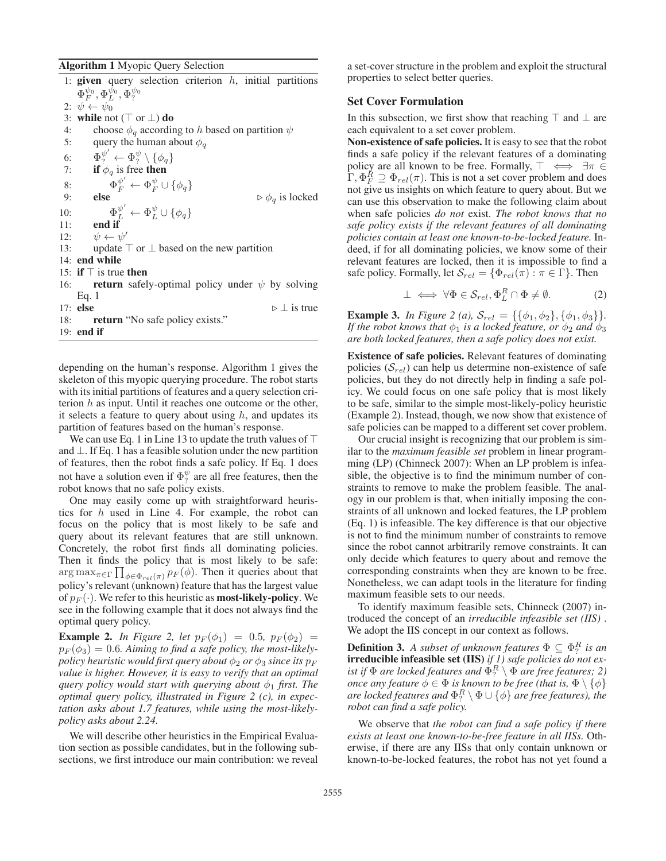Algorithm 1 Myopic Query Selection

1: given query selection criterion  $h$ , initial partitions  $\Phi_F^{\psi_0}, \Phi_L^{\psi_0}, \Phi_?^{\psi_0}$ <br>  $\psi \leftarrow \psi_0$ 2:  $\psi \leftarrow \psi_0$ 3: while not ( $\top$  or  $\bot$ ) do 4: choose  $\phi_q$  according to h based on partition  $\psi$ <br>5: query the human about  $\phi_q$ query the human about  $\phi_q$ 6:  $\Phi_?^{\psi'} \leftarrow \Phi_?^{\psi} \setminus {\phi_q}$ <br>7. **if**  $\phi_{\infty}$  is free then 7: if  $\phi_q$  is free then 8:  $\Phi_F^{\psi'} \leftarrow \Phi_F^{\psi} \cup \{\phi_q\}$ <br>9. **else** 9: **else**  $\triangleright \phi_q$  is locked 10:  $\Phi_L^{\psi'} \leftarrow \Phi_L^{\psi} \cup \{\phi_q\}$ <br>
11: end if 11: end if 12:  $\psi \leftarrow \psi'$ 13: update  $\top$  or  $\bot$  based on the new partition 14: end while 15: if  $\top$  is true then 16: **return** safely-optimal policy under  $\psi$  by solving Eq. 1 17: else  $\triangleright \perp$  is true 18: **return** "No safe policy exists." 19: end if

depending on the human's response. Algorithm 1 gives the skeleton of this myopic querying procedure. The robot starts with its initial partitions of features and a query selection criterion  $h$  as input. Until it reaches one outcome or the other, it selects a feature to query about using  $h$ , and updates its partition of features based on the human's response.

We can use Eq. 1 in Line 13 to update the truth values of  $\top$ and ⊥. If Eq. 1 has a feasible solution under the new partition of features, then the robot finds a safe policy. If Eq. 1 does not have a solution even if  $\Phi_{\gamma}^{\psi}$  are all free features, then the robot knows that no safe policy exists robot knows that no safe policy exists.

One may easily come up with straightforward heuristics for h used in Line 4. For example, the robot can focus on the policy that is most likely to be safe and query about its relevant features that are still unknown. Concretely, the robot first finds all dominating policies. Then it finds the policy that is most likely to be safe:  $\arg \max_{\pi \in \Gamma} \prod_{\phi \in \Phi_{rel}(\pi)} p_F(\phi)$ . Then it queries about that  $\text{poly}(n)$  relations (unknown) feature that has the largest value policy's relevant (unknown) feature that has the largest value of  $p_F(\cdot)$ . We refer to this heuristic as **most-likely-policy**. We see in the following example that it does not always find the optimal query policy.

**Example 2.** *In Figure 2, let*  $p_F(\phi_1) = 0.5$ *,*  $p_F(\phi_2) =$  $p_F(\phi_3)=0.6$ . Aiming to find a safe policy, the most-likely*policy heuristic would first query about*  $\phi_2$  *or*  $\phi_3$  *since its*  $p_F$ *value is higher. However, it is easy to verify that an optimal query policy would start with querying about*  $\phi_1$  *first. The optimal query policy, illustrated in Figure 2 (c), in expectation asks about 1.7 features, while using the most-likelypolicy asks about 2.24.*

We will describe other heuristics in the Empirical Evaluation section as possible candidates, but in the following subsections, we first introduce our main contribution: we reveal

a set-cover structure in the problem and exploit the structural properties to select better queries.

# Set Cover Formulation

In this subsection, we first show that reaching  $\top$  and  $\bot$  are each equivalent to a set cover problem.

Non-existence of safe policies. It is easy to see that the robot finds a safe policy if the relevant features of a dominating policy are all known to be free. Formally,  $\top \iff \exists \pi \in$  $\Gamma$ ,  $\Phi_F^R \supseteq \Phi_{rel}(\pi)$ . This is not a set cover problem and does not give us insights on which feature to query about But we not give us insights on which feature to query about. But we can use this observation to make the following claim about when safe policies *do not* exist. *The robot knows that no safe policy exists if the relevant features of all dominating policies contain at least one known-to-be-locked feature.* Indeed, if for all dominating policies, we know some of their relevant features are locked, then it is impossible to find a safe policy. Formally, let  $S_{rel} = {\Phi_{rel}(\pi) : \pi \in \Gamma}$ . Then

$$
\perp \iff \forall \Phi \in \mathcal{S}_{rel}, \Phi_L^R \cap \Phi \neq \emptyset. \tag{2}
$$

**Example 3.** *In Figure 2 (a),*  $S_{rel} = \{\{\phi_1, \phi_2\}, \{\phi_1, \phi_3\}\}.$ *If the robot knows that*  $\phi_1$  *is a locked feature, or*  $\phi_2$  *and*  $\phi_3$ *are both locked features, then a safe policy does not exist.*

Existence of safe policies. Relevant features of dominating policies  $(S_{rel})$  can help us determine non-existence of safe policies, but they do not directly help in finding a safe policy. We could focus on one safe policy that is most likely to be safe, similar to the simple most-likely-policy heuristic (Example 2). Instead, though, we now show that existence of safe policies can be mapped to a different set cover problem.

Our crucial insight is recognizing that our problem is similar to the *maximum feasible set* problem in linear programming (LP) (Chinneck 2007): When an LP problem is infeasible, the objective is to find the minimum number of constraints to remove to make the problem feasible. The analogy in our problem is that, when initially imposing the constraints of all unknown and locked features, the LP problem (Eq. 1) is infeasible. The key difference is that our objective is not to find the minimum number of constraints to remove since the robot cannot arbitrarily remove constraints. It can only decide which features to query about and remove the corresponding constraints when they are known to be free. Nonetheless, we can adapt tools in the literature for finding maximum feasible sets to our needs.

To identify maximum feasible sets, Chinneck (2007) introduced the concept of an *irreducible infeasible set (IIS)* . We adopt the IIS concept in our context as follows.

**Definition 3.** A subset of unknown features  $\Phi \subseteq \Phi_{\tau}^{R}$  is an **irreducible infeasible set (IIS)** if 1) safe policies do not exirreducible infeasible set (IIS) *if 1) safe policies do not exist if*  $\Phi$  *are locked features and*  $\Phi_7^R \setminus \Phi$  *are free features; 2)*<br>*once any feature*  $\phi \in \Phi$  *is known to be free (that is*  $\Phi \setminus {\phi}$ ) *once any feature*  $\phi \in \Phi$  *is known to be free (that is,*  $\Phi \setminus {\phi}$ ) *are locked features and*  $\Phi_?^R \setminus \Phi \cup \{\phi\}$  *are free features), the robot can find a safe nolicy robot can find a safe policy.*

We observe that *the robot can find a safe policy if there exists at least one known-to-be-free feature in all IISs.* Otherwise, if there are any IISs that only contain unknown or known-to-be-locked features, the robot has not yet found a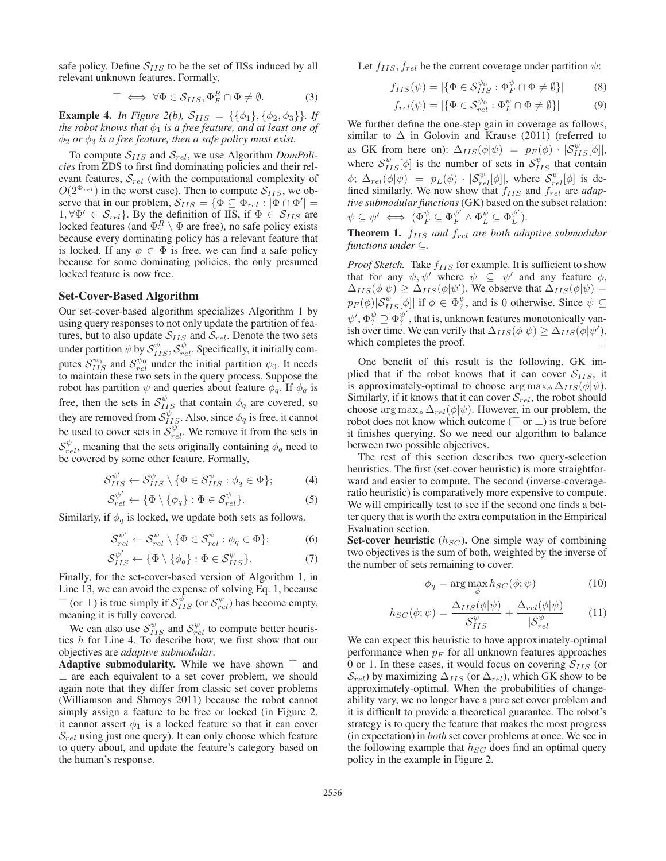safe policy. Define  $S_{IIS}$  to be the set of IISs induced by all relevant unknown features. Formally,

$$
\top \iff \forall \Phi \in \mathcal{S}_{IIS}, \Phi_F^R \cap \Phi \neq \emptyset. \tag{3}
$$

**Example 4.** *In Figure 2(b),*  $S_{IIS} = {\{\phi_1\}, \{\phi_2, \phi_3\}\}\$ . If *the robot knows that*  $\phi_1$  *is a free feature, and at least one of*  $\phi_2$  *or*  $\phi_3$  *is a free feature, then a safe policy must exist.* 

To compute  $S_{IIS}$  and  $S_{rel}$ , we use Algorithm *DomPolicies* from ZDS to first find dominating policies and their relevant features,  $S_{rel}$  (with the computational complexity of  $O(2^{\Phi_{rel}})$  in the worst case). Then to compute  $S_{IIS}$ , we observe that in our problem,  $S_{IIS} = \{ \Phi \subseteq \Phi_{rel} : |\Phi \cap \Phi'| = 1 \; \forall \Phi' \in S_{rel} \}$  By the definition of IIS if  $\Phi \in S_{rel}$  are 1,  $\forall \Phi' \in S_{rel}$ . By the definition of IIS, if  $\Phi \in S_{IIS}$  are locked features (and  $\Phi^R$ )  $\Phi$  are free) no safe policy exists locked features (and  $\Phi_7^R \setminus \Phi$  are free), no safe policy exists<br>because every dominating policy has a relevant feature that because every dominating policy has a relevant feature that is locked. If any  $\phi \in \Phi$  is free, we can find a safe policy because for some dominating policies, the only presumed locked feature is now free.

### Set-Cover-Based Algorithm

Our set-cover-based algorithm specializes Algorithm 1 by using query responses to not only update the partition of features, but to also update  $S_{IIS}$  and  $S_{rel}$ . Denote the two sets under partition  $\psi$  by  $\mathcal{S}_{IIS}^{\psi}, \mathcal{S}_{rel}^{\psi}$ . Specifically, it initially computes  $S_{IIS}^{\psi_0}$  and  $S_{rel}^{\psi_0}$  under the initial partition  $\psi_0$ . It needs to maintain these two sets in the query process. Suppose the robot has partition  $\psi$  and queries about feature  $\phi_q$ . If  $\phi_q$  is free, then the sets in  $S_{IIS}^{\psi}$  that contain  $\phi_q$  are covered, so they are removed from  $\mathcal{S}_{IIS}^{\psi}$ . Also, since  $\phi_q$  is free, it cannot be used to cover sets in  $S_{rel}^{\psi}$ . We remove it from the sets in  $S_{rel}^{\psi}$ , meaning that the sets originally containing  $\phi_q$  need to be covered by some other feature. Formally,

$$
\mathcal{S}_{IIS}^{\psi'} \leftarrow \mathcal{S}_{IIS}^{\psi} \setminus \{\Phi \in \mathcal{S}_{IIS}^{\psi} : \phi_q \in \Phi\};\tag{4}
$$

$$
\mathcal{S}_{rel}^{\psi'} \leftarrow \{\Phi \setminus \{\phi_q\} : \Phi \in \mathcal{S}_{rel}^{\psi}\}.
$$
 (5)

Similarly, if  $\phi_q$  is locked, we update both sets as follows.

$$
\mathcal{S}_{rel}^{\psi'} \leftarrow \mathcal{S}_{rel}^{\psi} \setminus \{\Phi \in \mathcal{S}_{rel}^{\psi} : \phi_q \in \Phi\};\tag{6}
$$

$$
\mathcal{S}_{IIS}^{\psi'} \leftarrow \{ \Phi \setminus \{ \phi_q \} : \Phi \in \mathcal{S}_{IIS}^{\psi} \}.
$$
 (7)

Finally, for the set-cover-based version of Algorithm 1, in Line 13, we can avoid the expense of solving Eq. 1, because  $\top$  (or  $\bot$ ) is true simply if  $S_{IIS}^{\psi}$  (or  $S_{rel}^{\psi}$ ) has become empty, meaning it is fully covered.

We can also use  $S_{IIS}^{\psi}$  and  $S_{rel}^{\psi}$  to compute better heuristics h for Line 4. To describe how, we first show that our objectives are *adaptive submodular*.

Adaptive submodularity. While we have shown  $\top$  and ⊥ are each equivalent to a set cover problem, we should again note that they differ from classic set cover problems (Williamson and Shmoys 2011) because the robot cannot simply assign a feature to be free or locked (in Figure 2, it cannot assert  $\phi_1$  is a locked feature so that it can cover  $S_{rel}$  using just one query). It can only choose which feature to query about, and update the feature's category based on the human's response.

Let  $f_{IIS}, f_{rel}$  be the current coverage under partition  $\psi$ :

$$
f_{IIS}(\psi) = |\{\Phi \in \mathcal{S}_{IIS}^{\psi_0} : \Phi_F^{\psi} \cap \Phi \neq \emptyset\}| \tag{8}
$$

$$
f_{rel}(\psi) = |\{\Phi \in \mathcal{S}_{rel}^{\psi_0} : \Phi_L^{\psi} \cap \Phi \neq \emptyset\}| \tag{9}
$$

We further define the one-step gain in coverage as follows, similar to  $\Delta$  in Golovin and Krause (2011) (referred to as GK from here on):  $\Delta_{IIS}(\phi|\psi) = p_F(\phi) \cdot |\mathcal{S}_{IIS}^{\psi}[\phi]|$ , where  $S_{IIS}^{\psi}[\phi]$  is the number of sets in  $S_{IIS}^{\psi}$  that contain  $\phi$ ;  $\Delta_{rel}(\phi|\psi) = p_L(\phi) \cdot |\mathcal{S}_{rel}^{\psi}[\phi]|$ , where  $\mathcal{S}_{rel}^{\psi}[\phi]$  is defined similarly. We now show that  $f_{IIS}$  and  $f_{rel}$  are *adaptive submodular functions* (GK) based on the subset relation:  $\psi \subseteq \psi' \iff (\Phi_F^{\psi} \subseteq \Phi_F^{\psi'} \land \Phi_L^{\psi} \subseteq \Phi_L^{\psi'}).$ 

Theorem 1. fIIS *and* frel *are both adaptive submodular functions under* ⊆*.*

*Proof Sketch.* Take  $f_{IIS}$  for example. It is sufficient to show that for any  $\psi, \psi'$  where  $\psi \subseteq \psi'$  and any feature  $\phi$ ,  $\Delta_{IIS}(\phi|\psi) \geq \Delta_{IIS}(\phi|\psi')$ . We observe that  $\Delta_{IIS}(\phi|\psi) =$ <br> $\Delta_{IIS}(\phi|\psi) \leq \Delta_{IIS}(\phi|\psi')$  and is 0 otherwise. Since  $\psi \subseteq$  $p_F(\phi)|S_{IIS}^{\psi}[\phi]|$  if  $\phi \in \Phi_{\gamma}^{\psi}$ , and is 0 otherwise. Since  $\psi \subseteq$  $\psi', \Phi_{?}^{\psi} \supseteq \Phi_{?}^{\psi'}$ , that is, unknown features monotonically van-<br>ish over time. We can verify that  $\Delta_{ILS}(\phi|\psi) > \Delta_{ILS}(\phi|\psi')$ ish over time. We can verify that  $\Delta_{IIS}(\phi|\psi) \geq \Delta_{IIS}(\phi|\psi'),$ <br>which completes the proof which completes the proof.

One benefit of this result is the following. GK implied that if the robot knows that it can cover  $S_{IIS}$ , it is approximately-optimal to choose  $\arg \max_{\phi} \Delta_{IIS}(\phi|\psi)$ . Similarly, if it knows that it can cover  $S_{rel}$ , the robot should choose  $\arg \max_{\phi} \Delta_{rel}(\phi|\psi)$ . However, in our problem, the robot does not know which outcome ( $\top$  or  $\bot$ ) is true before it finishes querying. So we need our algorithm to balance between two possible objectives.

The rest of this section describes two query-selection heuristics. The first (set-cover heuristic) is more straightforward and easier to compute. The second (inverse-coverageratio heuristic) is comparatively more expensive to compute. We will empirically test to see if the second one finds a better query that is worth the extra computation in the Empirical Evaluation section.

Set-cover heuristic  $(h_{SC})$ . One simple way of combining two objectives is the sum of both, weighted by the inverse of the number of sets remaining to cover.

$$
\phi_q = \arg\max_{\phi} h_{SC}(\phi; \psi) \tag{10}
$$

$$
h_{SC}(\phi; \psi) = \frac{\Delta_{IIS}(\phi|\psi)}{|\mathcal{S}_{IIS}^{\psi}|} + \frac{\Delta_{rel}(\phi|\psi)}{|\mathcal{S}_{rel}^{\psi}|} \tag{11}
$$

We can expect this heuristic to have approximately-optimal performance when  $p_F$  for all unknown features approaches 0 or 1. In these cases, it would focus on covering  $S_{IIS}$  (or  $S_{rel}$ ) by maximizing  $\Delta_{IIS}$  (or  $\Delta_{rel}$ ), which GK show to be approximately-optimal. When the probabilities of changeability vary, we no longer have a pure set cover problem and it is difficult to provide a theoretical guarantee. The robot's strategy is to query the feature that makes the most progress (in expectation) in *both* set cover problems at once. We see in the following example that  $h_{SC}$  does find an optimal query policy in the example in Figure 2.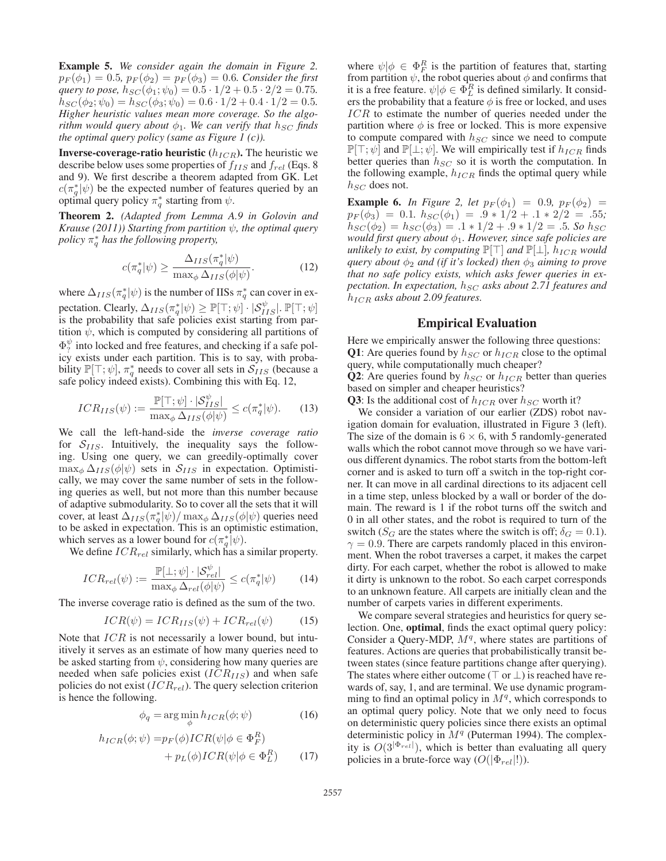Example 5. *We consider again the domain in Figure 2.*  $p_F(\phi_1)=0.5, p_F(\phi_2)=p_F(\phi_3)=0.6$ *. Consider the first query to pose,*  $h_{SC}(\phi_1; \psi_0) = 0.5 \cdot 1/2 + 0.5 \cdot 2/2 = 0.75$ .  $h_{SC} (\phi_2; \psi_0) = h_{SC} (\phi_3; \psi_0) = 0.6 \cdot 1/2 + 0.4 \cdot 1/2 = 0.5.$ *Higher heuristic values mean more coverage. So the algorithm would query about*  $\phi_1$ *. We can verify that*  $h_{SC}$  *finds the optimal query policy (same as Figure 1 (c)).*

**Inverse-coverage-ratio heuristic**  $(h_{ICR})$ . The heuristic we describe below uses some properties of  $f_{IIS}$  and  $f_{rel}$  (Eqs. 8) and 9). We first describe a theorem adapted from GK. Let  $c(\pi_q^*|\psi)$  be the expected number of features queried by an optimal query policy  $\pi^*$  starting from  $\psi$ optimal query policy  $\pi_q^*$  starting from  $\psi$ .

Theorem 2. *(Adapted from Lemma A.9 in Golovin and Krause (2011)) Starting from partition*  $\psi$ *, the optimal query policy* π<sup>∗</sup> <sup>q</sup> *has the following property,*

$$
c(\pi_q^*|\psi) \ge \frac{\Delta_{IIS}(\pi_q^*|\psi)}{\max_{\phi} \Delta_{IIS}(\phi|\psi)}.
$$
 (12)

where  $\Delta_{IIS}(\pi_q^*|\psi)$  is the number of IISs  $\pi_q^*$  can cover in ex-<br>properties.  $\Omega_{I}$  can be  $(1+\Omega_q^* + \Gamma_q^*)$ pectation. Clearly,  $\Delta_{IIS}(\pi_q^*|\psi) \ge \mathbb{P}[\top; \psi] \cdot |\mathcal{S}_{IIS}^{\psi}|$ .  $\mathbb{P}[\top; \psi]$ <br>is the probability that safe policies exist starting from paris the probability that safe policies exist starting from partition  $\psi$ , which is computed by considering all partitions of  $\Phi_{\gamma}^{\psi}$  into locked and free features, and checking if a safe pol-<br>icy exists under each partition. This is to say with probaicy exists under each partition. This is to say, with probability  $\mathbb{P}[\top; \psi]$ ,  $\pi_q^*$  needs to cover all sets in  $S_{IIS}$  (because a safe policy indeed exists). Combining this with Eq. 12 safe policy indeed exists). Combining this with Eq. 12,

$$
ICR_{IIS}(\psi) := \frac{\mathbb{P}[\top; \psi] \cdot |\mathcal{S}_{IIS}^{\psi}|}{\max_{\phi} \Delta_{IIS}(\phi|\psi)} \le c(\pi_q^*|\psi). \tag{13}
$$

We call the left-hand-side the *inverse coverage ratio* for  $S_{IIS}$ . Intuitively, the inequality says the following. Using one query, we can greedily-optimally cover  $\max_{\phi} \Delta_{IIS}(\phi|\psi)$  sets in  $S_{IIS}$  in expectation. Optimistically, we may cover the same number of sets in the following queries as well, but not more than this number because of adaptive submodularity. So to cover all the sets that it will cover, at least  $\Delta_{IIS}(\pi_q^*|\psi)/\max_{\phi} \Delta_{IIS}(\phi|\psi)$  queries need<br>to be asked in expectation. This is an optimistic estimation to be asked in expectation. This is an optimistic estimation, which serves as a lower bound for  $c(\pi_q^*|\psi)$ .<br>We define  $ICB_{n-1}$  similarly which has a

We define  $ICR_{rel}$  similarly, which has a similar property.

$$
ICR_{rel}(\psi) := \frac{\mathbb{P}[\bot; \psi] \cdot |\mathcal{S}_{rel}^{\psi}|}{\max_{\phi} \Delta_{rel}(\phi|\psi)} \le c(\pi_q^*|\psi)
$$
(14)

The inverse coverage ratio is defined as the sum of the two.

$$
ICR(\psi) = ICR_{IIS}(\psi) + ICR_{rel}(\psi)
$$
 (15)

Note that  $ICR$  is not necessarily a lower bound, but intuitively it serves as an estimate of how many queries need to be asked starting from  $\psi$ , considering how many queries are needed when safe policies exist  $(ICR<sub>IIS</sub>)$  and when safe policies do not exist  $(ICR_{rel})$ . The query selection criterion is hence the following.

$$
\phi_q = \arg\min_{\phi} h_{ICR}(\phi; \psi) \tag{16}
$$

$$
h_{ICR}(\phi; \psi) = p_F(\phi)ICR(\psi | \phi \in \Phi_F^R) + p_L(\phi)ICR(\psi | \phi \in \Phi_L^R)
$$
 (17)

where  $\psi|\phi \in \Phi_F^R$  is the partition of features that, starting from partition  $\psi$  the robot queries about  $\phi$  and confirms that from partition  $\psi$ , the robot queries about  $\phi$  and confirms that it is a free feature.  $\psi | \phi \in \Phi_L^R$  is defined similarly. It considers the probability that a feature  $\phi$  is free or locked and uses ers the probability that a feature  $\phi$  is free or locked, and uses ICR to estimate the number of queries needed under the partition where  $\phi$  is free or locked. This is more expensive to compute compared with  $h_{SC}$  since we need to compute  $\mathbb{P}[\top; \psi]$  and  $\mathbb{P}[\bot; \psi]$ . We will empirically test if  $h_{ICR}$  finds better queries than  $h_{SC}$  so it is worth the computation. In the following example,  $h_{ICR}$  finds the optimal query while  $h_{SC}$  does not.

**Example 6.** *In Figure 2, let*  $p_F(\phi_1) = 0.9$ *,*  $p_F(\phi_2) =$  $p_F(\phi_3) = 0.1$ *.*  $h_{SC}(\phi_1) = .9 * 1/2 + .1 * 2/2 = .55$ ;  $h_{SC}(\phi_2) = h_{SC}(\phi_3) = .1 * 1/2 + .9 * 1/2 = .5$ *. So*  $h_{SC}$ *would first query about* φ1*. However, since safe policies are unlikely to exist, by computing*  $\mathbb{P}[\top]$  *and*  $\mathbb{P}[\bot]$ *, h<sub>ICR</sub> would query about*  $\phi_2$  *and (if it's locked) then*  $\phi_3$  *aiming to prove that no safe policy exists, which asks fewer queries in expectation. In expectation,*  $h_{SC}$  *asks about 2.71 features and*  $h_{ICR}$  asks about 2.09 features.

#### Empirical Evaluation

Here we empirically answer the following three questions: **Q1**: Are queries found by  $h_{SC}$  or  $h_{ICR}$  close to the optimal query, while computationally much cheaper?

**Q2**: Are queries found by  $h_{SC}$  or  $h_{ICR}$  better than queries based on simpler and cheaper heuristics?

**Q3**: Is the additional cost of  $h_{ICR}$  over  $h_{SC}$  worth it?

We consider a variation of our earlier (ZDS) robot navigation domain for evaluation, illustrated in Figure 3 (left). The size of the domain is  $6 \times 6$ , with 5 randomly-generated walls which the robot cannot move through so we have various different dynamics. The robot starts from the bottom-left corner and is asked to turn off a switch in the top-right corner. It can move in all cardinal directions to its adjacent cell in a time step, unless blocked by a wall or border of the domain. The reward is 1 if the robot turns off the switch and 0 in all other states, and the robot is required to turn of the switch ( $S_G$  are the states where the switch is off;  $\delta_G = 0.1$ ).  $\gamma = 0.9$ . There are carpets randomly placed in this environment. When the robot traverses a carpet, it makes the carpet dirty. For each carpet, whether the robot is allowed to make it dirty is unknown to the robot. So each carpet corresponds to an unknown feature. All carpets are initially clean and the number of carpets varies in different experiments.

We compare several strategies and heuristics for query selection. One, optimal, finds the exact optimal query policy: Consider a Query-MDP,  $M<sup>q</sup>$ , where states are partitions of features. Actions are queries that probabilistically transit between states (since feature partitions change after querying). The states where either outcome ( $\top$  or  $\bot$ ) is reached have rewards of, say, 1, and are terminal. We use dynamic programming to find an optimal policy in  $M<sup>q</sup>$ , which corresponds to an optimal query policy. Note that we only need to focus on deterministic query policies since there exists an optimal deterministic policy in  $M<sup>q</sup>$  (Puterman 1994). The complexity is  $O(3^{|\Phi_{rel}|})$ , which is better than evaluating all query<br>policies in a brute-force way  $O(|\Phi_{rel}|!)$ policies in a brute-force way  $(O(|\Phi_{rel}|!)).$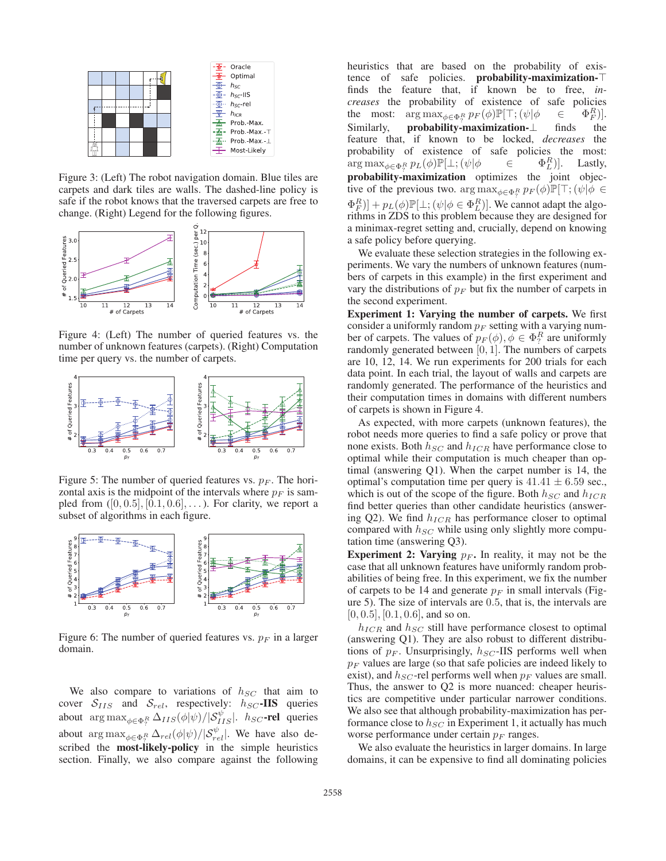

Figure 3: (Left) The robot navigation domain. Blue tiles are carpets and dark tiles are walls. The dashed-line policy is safe if the robot knows that the traversed carpets are free to change. (Right) Legend for the following figures.



Figure 4: (Left) The number of queried features vs. the number of unknown features (carpets). (Right) Computation time per query vs. the number of carpets.



Figure 5: The number of queried features vs.  $p_F$ . The horizontal axis is the midpoint of the intervals where  $p_F$  is sampled from  $([0, 0.5], [0.1, 0.6], \ldots)$ . For clarity, we report a subset of algorithms in each figure.



Figure 6: The number of queried features vs.  $p_F$  in a larger domain.

We also compare to variations of  $h_{SC}$  that aim to cover  $S_{IIS}$  and  $S_{rel}$ , respectively:  $h_{SC}$ -IIS queries about  $\arg \max_{\phi \in \Phi_{\gamma}^R} \Delta_{IIS}(\phi|\psi)/|\mathcal{S}_{IIS}^{\psi}|$ .  $h_{SC}$ -rel queries about arg max<sub> $\phi \in \Phi_R^R$ </sub>  $\Delta_{rel}(\phi|\psi)/|\mathcal{S}_{rel}^{\psi}|$ . We have also described the most-likely-policy in the simple heuristics section. Finally, we also compare against the following heuristics that are based on the probability of existence of safe policies. probability-maximization finds the feature that, if known be to free, *increases* the probability of existence of safe policies the most:  $\arg \max_{\phi \in \Phi_P^R} p_F(\phi) \mathbb{P}[\top; (\psi | \phi \in \Phi_P^R \Phi_R^R])$  $\Phi_F^R$ )].<br>the Similarly, probability-maximization-⊥ finds feature that, if known to be locked, *decreases* the probability of existence of safe policies the most:  $\arg \max_{\phi \in \Phi_R^R} p_L(\phi) \mathbb{P}[\bot; (\psi | \phi \in \Phi_R^R])$  $\arg \max_{\phi \in \Phi_{\gamma}^{R}} p_{L}(\phi) \mathbb{P}[\perp; (\psi | \phi \in \Phi_{L}^{R})].$  Lastly,<br> **probability-maximization** optimizes the joint objective of the previous two.  $\arg \max_{\phi \in \Phi_R^R} p_F(\phi) \mathbb{P}[\top; (\psi | \phi \in \mathbb{R}^R))$  $\Phi_F^R$ )] +  $p_L(\phi) \mathbb{P}[\perp; (\psi | \phi \in \Phi_L^R)]$ . We cannot adapt the algo-<br>rithms in ZDS to this problem because they are designed for rithms in ZDS to this problem because they are designed for a minimax-regret setting and, crucially, depend on knowing a safe policy before querying.

We evaluate these selection strategies in the following experiments. We vary the numbers of unknown features (numbers of carpets in this example) in the first experiment and vary the distributions of  $p_F$  but fix the number of carpets in the second experiment.

Experiment 1: Varying the number of carpets. We first consider a uniformly random  $p_F$  setting with a varying number of carpets. The values of  $p_F(\phi), \phi \in \Phi_7^R$  are uniformly concreted between [0, 1]. The numbers of carpets randomly generated between [0, 1]. The numbers of carpets are 10, 12, 14. We run experiments for 200 trials for each data point. In each trial, the layout of walls and carpets are randomly generated. The performance of the heuristics and their computation times in domains with different numbers of carpets is shown in Figure 4.

As expected, with more carpets (unknown features), the robot needs more queries to find a safe policy or prove that none exists. Both  $h_{SC}$  and  $h_{ICR}$  have performance close to optimal while their computation is much cheaper than optimal (answering Q1). When the carpet number is 14, the optimal's computation time per query is  $41.41 \pm 6.59$  sec., which is out of the scope of the figure. Both  $h_{SC}$  and  $h_{ICR}$ find better queries than other candidate heuristics (answering Q2). We find  $h_{ICR}$  has performance closer to optimal compared with  $h_{SC}$  while using only slightly more computation time (answering Q3).

**Experiment 2: Varying**  $p_F$ . In reality, it may not be the case that all unknown features have uniformly random probabilities of being free. In this experiment, we fix the number of carpets to be 14 and generate  $p_F$  in small intervals (Figure 5). The size of intervals are 0.5, that is, the intervals are  $[0, 0.5]$ ,  $[0.1, 0.6]$ , and so on.

 $h_{ICR}$  and  $h_{SC}$  still have performance closest to optimal (answering Q1). They are also robust to different distributions of  $p_F$ . Unsurprisingly,  $h_{SC}$ -IIS performs well when  $p_F$  values are large (so that safe policies are indeed likely to exist), and  $h_{SC}$ -rel performs well when  $p_F$  values are small. Thus, the answer to Q2 is more nuanced: cheaper heuristics are competitive under particular narrower conditions. We also see that although probability-maximization has performance close to  $h_{SC}$  in Experiment 1, it actually has much worse performance under certain  $p_F$  ranges.

We also evaluate the heuristics in larger domains. In large domains, it can be expensive to find all dominating policies